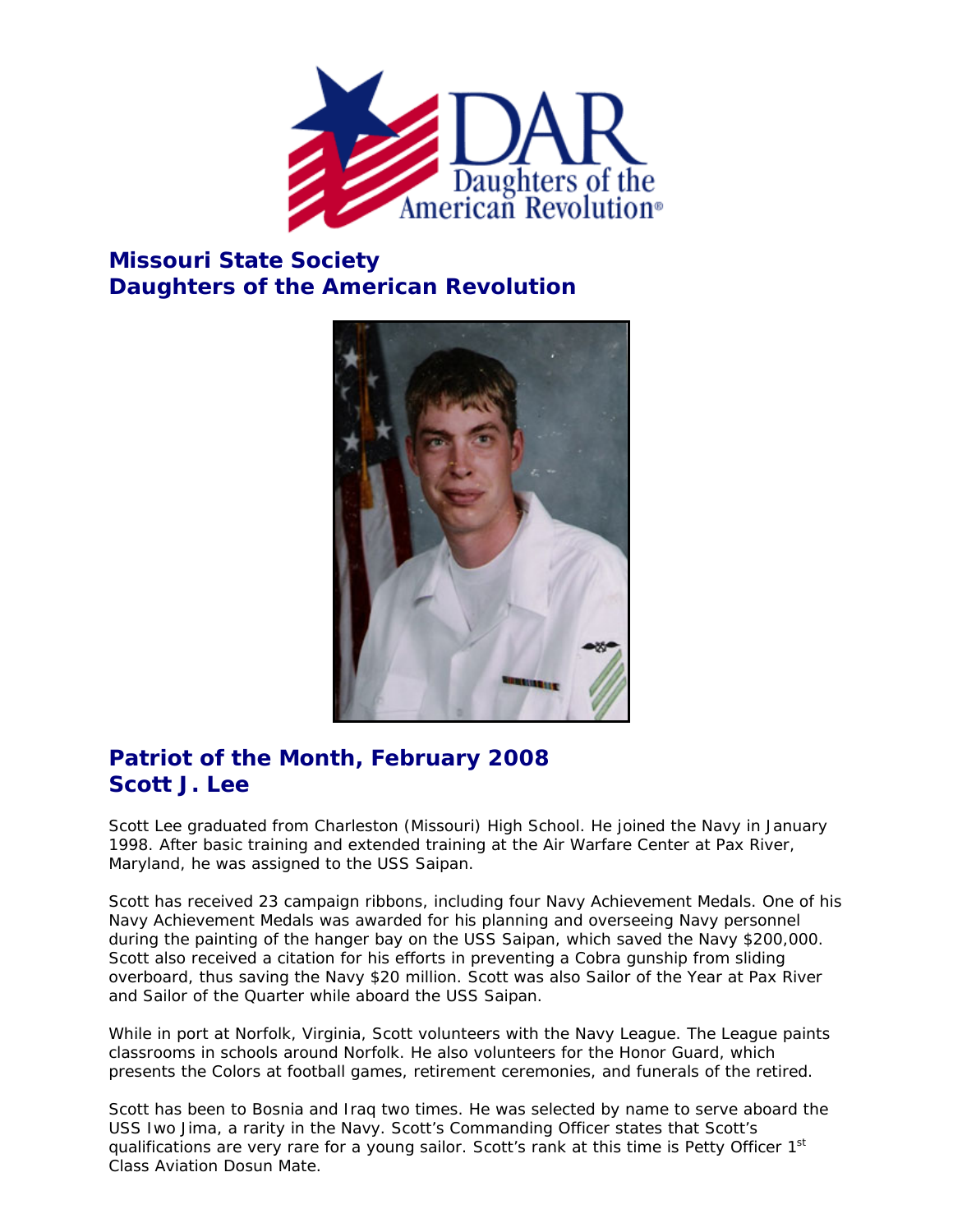

## **Missouri State Society Daughters of the American Revolution**



## **Patriot of the Month, February 2008 Scott J. Lee**

Scott Lee graduated from Charleston (Missouri) High School. He joined the Navy in January 1998. After basic training and extended training at the Air Warfare Center at Pax River, Maryland, he was assigned to the USS Saipan.

Scott has received 23 campaign ribbons, including four Navy Achievement Medals. One of his Navy Achievement Medals was awarded for his planning and overseeing Navy personnel during the painting of the hanger bay on the USS Saipan, which saved the Navy \$200,000. Scott also received a citation for his efforts in preventing a Cobra gunship from sliding overboard, thus saving the Navy \$20 million. Scott was also Sailor of the Year at Pax River and Sailor of the Quarter while aboard the USS Saipan.

While in port at Norfolk, Virginia, Scott volunteers with the Navy League. The League paints classrooms in schools around Norfolk. He also volunteers for the Honor Guard, which presents the Colors at football games, retirement ceremonies, and funerals of the retired.

Scott has been to Bosnia and Iraq two times. He was selected by name to serve aboard the USS Iwo Jima, a rarity in the Navy. Scott's Commanding Officer states that Scott's qualifications are very rare for a young sailor. Scott's rank at this time is Petty Officer 1<sup>st</sup> Class Aviation Dosun Mate.